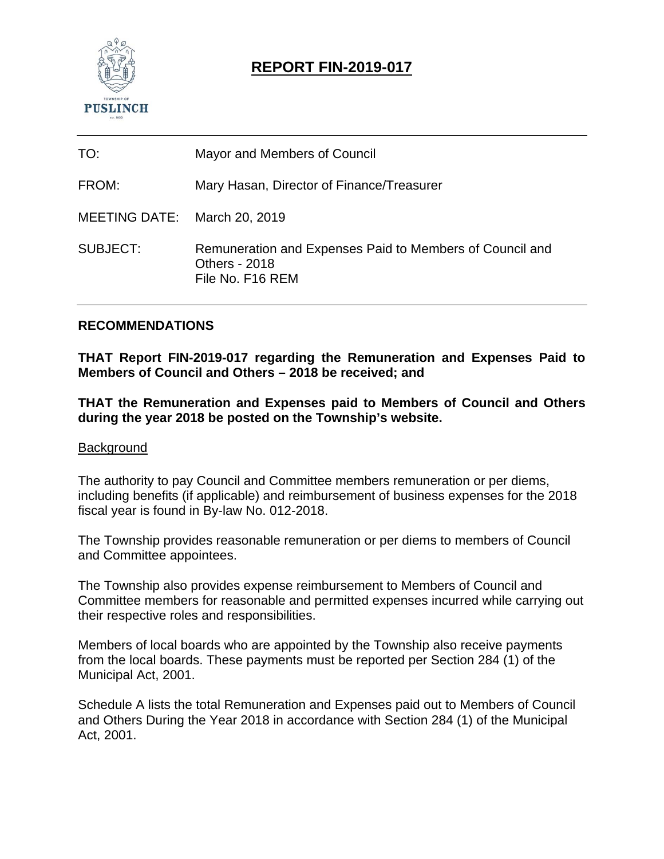

# **REPORT FIN-2019-017**

| TO:                          | Mayor and Members of Council                                                                         |
|------------------------------|------------------------------------------------------------------------------------------------------|
| FROM:                        | Mary Hasan, Director of Finance/Treasurer                                                            |
| MEETING DATE: March 20, 2019 |                                                                                                      |
| SUBJECT:                     | Remuneration and Expenses Paid to Members of Council and<br><b>Others - 2018</b><br>File No. F16 REM |

#### **RECOMMENDATIONS**

**THAT Report FIN-2019-017 regarding the Remuneration and Expenses Paid to Members of Council and Others – 2018 be received; and** 

**THAT the Remuneration and Expenses paid to Members of Council and Others during the year 2018 be posted on the Township's website.** 

#### **Background**

The authority to pay Council and Committee members remuneration or per diems, including benefits (if applicable) and reimbursement of business expenses for the 2018 fiscal year is found in By-law No. 012-2018.

The Township provides reasonable remuneration or per diems to members of Council and Committee appointees.

The Township also provides expense reimbursement to Members of Council and Committee members for reasonable and permitted expenses incurred while carrying out their respective roles and responsibilities.

Members of local boards who are appointed by the Township also receive payments from the local boards. These payments must be reported per Section 284 (1) of the Municipal Act, 2001.

Schedule A lists the total Remuneration and Expenses paid out to Members of Council and Others During the Year 2018 in accordance with Section 284 (1) of the Municipal Act, 2001.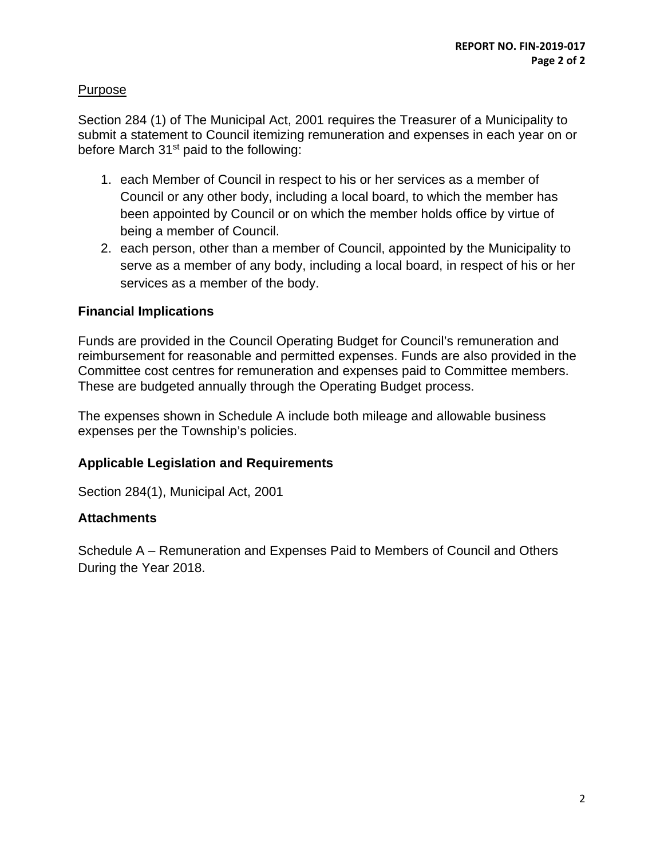## Purpose

Section 284 (1) of The Municipal Act, 2001 requires the Treasurer of a Municipality to submit a statement to Council itemizing remuneration and expenses in each year on or before March 31st paid to the following:

- 1. each Member of Council in respect to his or her services as a member of Council or any other body, including a local board, to which the member has been appointed by Council or on which the member holds office by virtue of being a member of Council.
- 2. each person, other than a member of Council, appointed by the Municipality to serve as a member of any body, including a local board, in respect of his or her services as a member of the body.

## **Financial Implications**

Funds are provided in the Council Operating Budget for Council's remuneration and reimbursement for reasonable and permitted expenses. Funds are also provided in the Committee cost centres for remuneration and expenses paid to Committee members. These are budgeted annually through the Operating Budget process.

The expenses shown in Schedule A include both mileage and allowable business expenses per the Township's policies.

#### **Applicable Legislation and Requirements**

Section 284(1), Municipal Act, 2001

#### **Attachments**

Schedule A – Remuneration and Expenses Paid to Members of Council and Others During the Year 2018.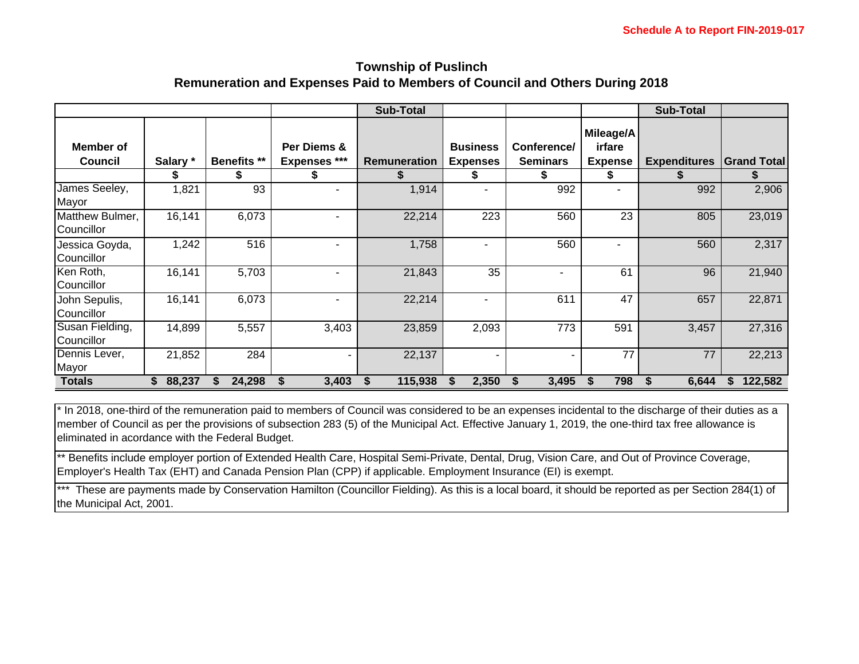#### **Township of Puslinch Remuneration and Expenses Paid to Members of Council and Others During 2018**

|                               |              |                    |                                    | <b>Sub-Total</b>    |                                    |                                |                                       | <b>Sub-Total</b>    |                     |
|-------------------------------|--------------|--------------------|------------------------------------|---------------------|------------------------------------|--------------------------------|---------------------------------------|---------------------|---------------------|
| Member of<br><b>Council</b>   | Salary *     | <b>Benefits **</b> | Per Diems &<br><b>Expenses ***</b> | <b>Remuneration</b> | <b>Business</b><br><b>Expenses</b> | Conference/<br><b>Seminars</b> | Mileage/A<br>irfare<br><b>Expense</b> | <b>Expenditures</b> | <b>IGrand Total</b> |
|                               |              | æ.                 | \$                                 |                     |                                    | J.                             | \$                                    |                     |                     |
| James Seeley,<br>Mayor        | 1,821        | 93                 |                                    | 1,914               |                                    | 992                            |                                       | 992                 | 2,906               |
| Matthew Bulmer,<br>Councillor | 16,141       | 6,073              |                                    | 22,214              | 223                                | 560                            | 23                                    | 805                 | 23,019              |
| Jessica Goyda,<br>Councillor  | 1,242        | 516                |                                    | 1,758               | ۰                                  | 560                            | ۰                                     | 560                 | 2,317               |
| Ken Roth,<br>Councillor       | 16,141       | 5,703              |                                    | 21,843              | 35                                 | ٠                              | 61                                    | 96                  | 21,940              |
| John Sepulis,<br>Councillor   | 16,141       | 6,073              |                                    | 22,214              | ۰                                  | 611                            | 47                                    | 657                 | 22,871              |
| Susan Fielding,<br>Councillor | 14,899       | 5,557              | 3,403                              | 23,859              | 2,093                              | 773                            | 591                                   | 3,457               | 27,316              |
| Dennis Lever,<br>Mayor        | 21,852       | 284                |                                    | 22,137              |                                    |                                | 77                                    | 77                  | 22,213              |
| <b>Totals</b>                 | 88,237<br>S. | 24,298             | 3,403                              | 115,938             | 2,350<br>S                         | 3,495                          | 798<br>S                              | 6,644<br>S          | 122,582<br>S.       |

\* In 2018, one-third of the remuneration paid to members of Council was considered to be an expenses incidental to the discharge of their duties as a member of Council as per the provisions of subsection 283 (5) of the Municipal Act. Effective January 1, 2019, the one-third tax free allowance is eliminated in acordance with the Federal Budget.

\*\* Benefits include employer portion of Extended Health Care, Hospital Semi-Private, Dental, Drug, Vision Care, and Out of Province Coverage, Employer's Health Tax (EHT) and Canada Pension Plan (CPP) if applicable. Employment Insurance (EI) is exempt.

\*\*\* These are payments made by Conservation Hamilton (Councillor Fielding). As this is a local board, it should be reported as per Section 284(1) of the Municipal Act, 2001.